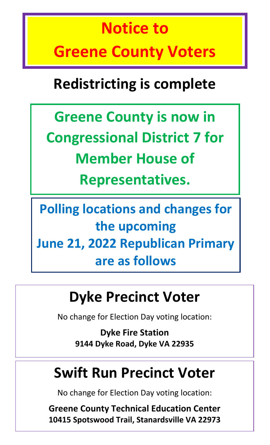# **Notice to Greene County Voters**

# **Redistricting is complete**

**Greene County is now in Congressional District 7 for Member House of Representatives.** 

**Polling locations and changes for the upcoming June 21, 2022 Republican Primary are as follows**

# **Dyke Precinct Voter**

No change for Election Day voting location:

**Dyke Fire Station 9144 Dyke Road, Dyke VA 22935**

#### **Swift Run Precinct Voter**

No change for Election Day voting location:

**Greene County Technical Education Center 10415 Spotswood Trail, Stanardsville VA 22973**